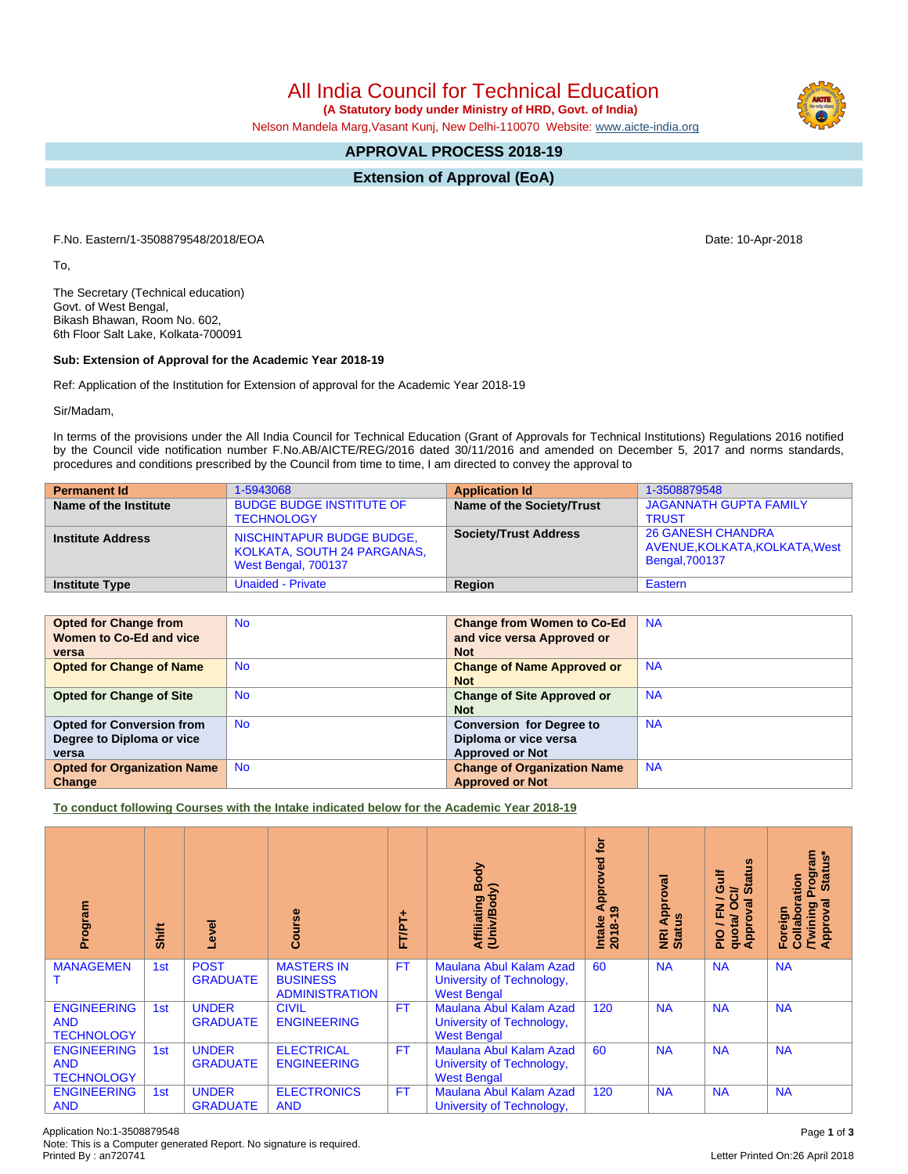Application No:1-3508879548 Page **1** of **3** Note: This is a Computer generated Report. No signature is required.

## All India Council for Technical Education

 **(A Statutory body under Ministry of HRD, Govt. of India)**

Nelson Mandela Marg,Vasant Kunj, New Delhi-110070 Website: [www.aicte-india.org](http://www.aicte-india.org)

## **APPROVAL PROCESS 2018-19**

**Extension of Approval (EoA)**

F.No. Eastern/1-3508879548/2018/EOA Date: 10-Apr-2018

To,

The Secretary (Technical education) Govt. of West Bengal, Bikash Bhawan, Room No. 602, 6th Floor Salt Lake, Kolkata-700091

## **Sub: Extension of Approval for the Academic Year 2018-19**

Ref: Application of the Institution for Extension of approval for the Academic Year 2018-19

Sir/Madam,

In terms of the provisions under the All India Council for Technical Education (Grant of Approvals for Technical Institutions) Regulations 2016 notified by the Council vide notification number F.No.AB/AICTE/REG/2016 dated 30/11/2016 and amended on December 5, 2017 and norms standards, procedures and conditions prescribed by the Council from time to time, I am directed to convey the approval to

| <b>Permanent Id</b>      | 1-5943068                                                                       | <b>Application Id</b>        | 1-3508879548                                                                        |
|--------------------------|---------------------------------------------------------------------------------|------------------------------|-------------------------------------------------------------------------------------|
| Name of the Institute    | <b>BUDGE BUDGE INSTITUTE OF</b><br><b>TECHNOLOGY</b>                            | Name of the Society/Trust    | <b>JAGANNATH GUPTA FAMILY</b><br><b>TRUST</b>                                       |
| <b>Institute Address</b> | NISCHINTAPUR BUDGE BUDGE,<br>KOLKATA, SOUTH 24 PARGANAS,<br>West Bengal, 700137 | <b>Society/Trust Address</b> | <b>26 GANESH CHANDRA</b><br>AVENUE, KOLKATA, KOLKATA, West<br><b>Bengal, 700137</b> |
| <b>Institute Type</b>    | <b>Unaided - Private</b>                                                        | Region                       | Eastern                                                                             |

| <b>Opted for Change from</b>       | <b>No</b> | <b>Change from Women to Co-Ed</b>  | <b>NA</b> |
|------------------------------------|-----------|------------------------------------|-----------|
| Women to Co-Ed and vice            |           | and vice versa Approved or         |           |
|                                    |           |                                    |           |
| versa                              |           | <b>Not</b>                         |           |
| <b>Opted for Change of Name</b>    | <b>No</b> | <b>Change of Name Approved or</b>  | <b>NA</b> |
|                                    |           | <b>Not</b>                         |           |
| <b>Opted for Change of Site</b>    | <b>No</b> | <b>Change of Site Approved or</b>  | <b>NA</b> |
|                                    |           | <b>Not</b>                         |           |
| <b>Opted for Conversion from</b>   | <b>No</b> | <b>Conversion for Degree to</b>    | <b>NA</b> |
| Degree to Diploma or vice          |           | Diploma or vice versa              |           |
| versa                              |           | <b>Approved or Not</b>             |           |
| <b>Opted for Organization Name</b> | <b>No</b> | <b>Change of Organization Name</b> | <b>NA</b> |
| Change                             |           | <b>Approved or Not</b>             |           |

**To conduct following Courses with the Intake indicated below for the Academic Year 2018-19**

| Program                                               | Shift           | Level                           | rse<br>ပ                                                      | FT/PT+    | Body<br>ody)<br>Affiliating I<br>(Univ/Body                                | ē<br>Approved<br>$\sigma$<br>$2018 - 19$<br>Intake | Approval<br>NRI Ap<br>Status | <b>Status</b><br>訔<br>ဖ<br>ಕ<br>∽<br>٥<br>2<br>준<br>quotal<br>Appro<br>음 | Program<br>Status*<br>ration<br>ख़<br><b>Twining</b><br>Approval<br>Collabor<br>Foreign |
|-------------------------------------------------------|-----------------|---------------------------------|---------------------------------------------------------------|-----------|----------------------------------------------------------------------------|----------------------------------------------------|------------------------------|--------------------------------------------------------------------------|-----------------------------------------------------------------------------------------|
| <b>MANAGEMEN</b>                                      | 1 <sub>st</sub> | <b>POST</b><br><b>GRADUATE</b>  | <b>MASTERS IN</b><br><b>BUSINESS</b><br><b>ADMINISTRATION</b> | <b>FT</b> | Maulana Abul Kalam Azad<br>University of Technology,<br><b>West Bengal</b> | 60                                                 | <b>NA</b>                    | <b>NA</b>                                                                | <b>NA</b>                                                                               |
| <b>ENGINEERING</b><br><b>AND</b><br><b>TECHNOLOGY</b> | 1st             | <b>UNDER</b><br><b>GRADUATE</b> | <b>CIVIL</b><br><b>ENGINEERING</b>                            | <b>FT</b> | Maulana Abul Kalam Azad<br>University of Technology,<br><b>West Bengal</b> | 120                                                | <b>NA</b>                    | <b>NA</b>                                                                | <b>NA</b>                                                                               |
| <b>ENGINEERING</b><br><b>AND</b><br><b>TECHNOLOGY</b> | 1st             | <b>UNDER</b><br><b>GRADUATE</b> | <b>ELECTRICAL</b><br><b>ENGINEERING</b>                       | <b>FT</b> | Maulana Abul Kalam Azad<br>University of Technology,<br><b>West Bengal</b> | 60                                                 | <b>NA</b>                    | <b>NA</b>                                                                | <b>NA</b>                                                                               |
| <b>ENGINEERING</b><br><b>AND</b>                      | 1st             | <b>UNDER</b><br><b>GRADUATE</b> | <b>ELECTRONICS</b><br><b>AND</b>                              | <b>FT</b> | Maulana Abul Kalam Azad<br>University of Technology,                       | 120                                                | <b>NA</b>                    | <b>NA</b>                                                                | <b>NA</b>                                                                               |

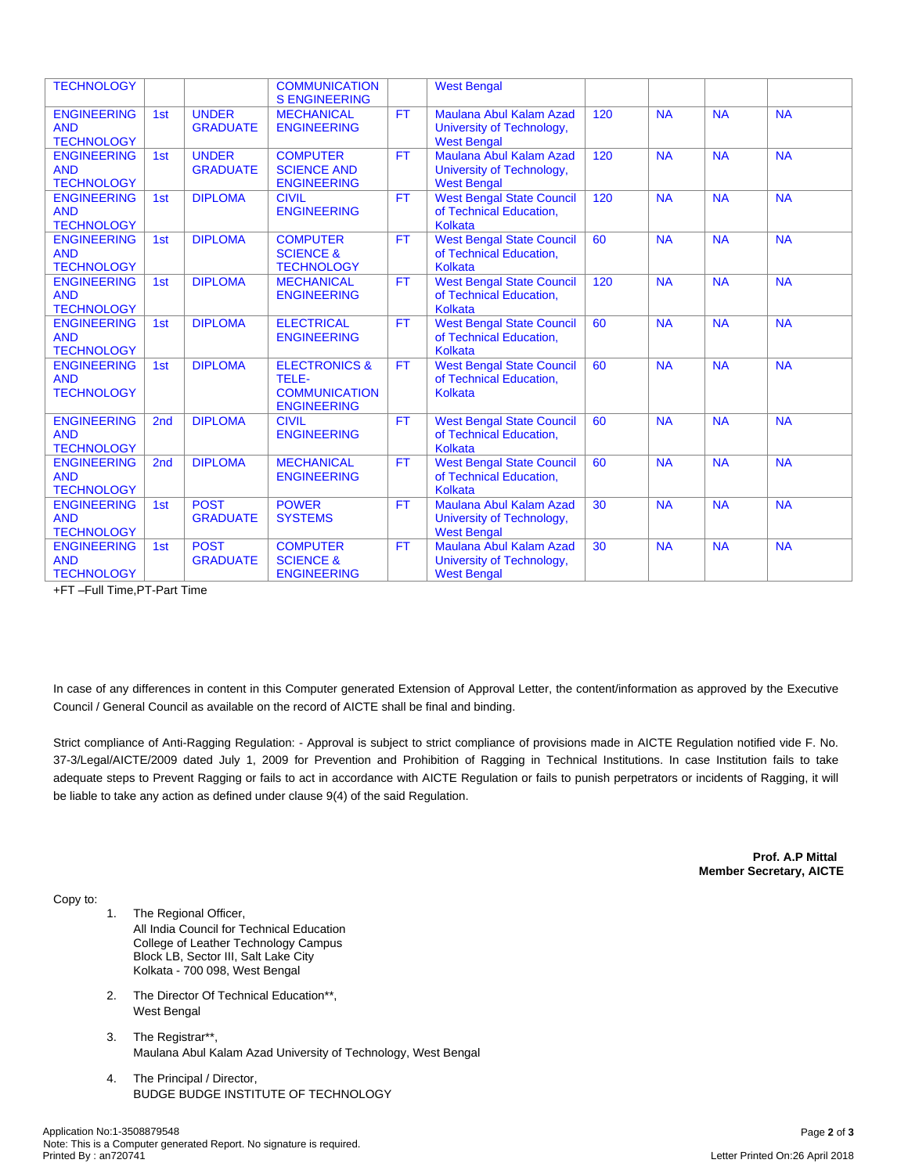| <b>TECHNOLOGY</b>                                     |                 |                                 | <b>COMMUNICATION</b><br><b>S ENGINEERING</b>                                    |           | <b>West Bengal</b>                                                                |     |           |           |           |
|-------------------------------------------------------|-----------------|---------------------------------|---------------------------------------------------------------------------------|-----------|-----------------------------------------------------------------------------------|-----|-----------|-----------|-----------|
| <b>ENGINEERING</b><br><b>AND</b><br><b>TECHNOLOGY</b> | 1st             | <b>UNDER</b><br><b>GRADUATE</b> | <b>MECHANICAL</b><br><b>ENGINEERING</b>                                         | <b>FT</b> | Maulana Abul Kalam Azad<br>University of Technology,<br><b>West Bengal</b>        | 120 | <b>NA</b> | <b>NA</b> | <b>NA</b> |
| <b>ENGINEERING</b><br><b>AND</b><br><b>TECHNOLOGY</b> | 1st             | <b>UNDER</b><br><b>GRADUATE</b> | <b>COMPUTER</b><br><b>SCIENCE AND</b><br><b>ENGINEERING</b>                     | <b>FT</b> | <b>Maulana Abul Kalam Azad</b><br>University of Technology,<br><b>West Bengal</b> | 120 | <b>NA</b> | <b>NA</b> | <b>NA</b> |
| <b>ENGINEERING</b><br><b>AND</b><br><b>TECHNOLOGY</b> | 1st             | <b>DIPLOMA</b>                  | <b>CIVIL</b><br><b>ENGINEERING</b>                                              | <b>FT</b> | <b>West Bengal State Council</b><br>of Technical Education,<br><b>Kolkata</b>     | 120 | <b>NA</b> | <b>NA</b> | <b>NA</b> |
| <b>ENGINEERING</b><br><b>AND</b><br><b>TECHNOLOGY</b> | 1st             | <b>DIPLOMA</b>                  | <b>COMPUTER</b><br><b>SCIENCE &amp;</b><br><b>TECHNOLOGY</b>                    | <b>FT</b> | <b>West Bengal State Council</b><br>of Technical Education,<br><b>Kolkata</b>     | 60  | <b>NA</b> | <b>NA</b> | <b>NA</b> |
| <b>ENGINEERING</b><br><b>AND</b><br><b>TECHNOLOGY</b> | 1st             | <b>DIPLOMA</b>                  | <b>MECHANICAL</b><br><b>ENGINEERING</b>                                         | FT.       | <b>West Bengal State Council</b><br>of Technical Education,<br>Kolkata            | 120 | <b>NA</b> | <b>NA</b> | <b>NA</b> |
| <b>ENGINEERING</b><br><b>AND</b><br><b>TECHNOLOGY</b> | 1st             | <b>DIPLOMA</b>                  | <b>ELECTRICAL</b><br><b>ENGINEERING</b>                                         | FT.       | <b>West Bengal State Council</b><br>of Technical Education,<br><b>Kolkata</b>     | 60  | <b>NA</b> | <b>NA</b> | <b>NA</b> |
| <b>ENGINEERING</b><br><b>AND</b><br><b>TECHNOLOGY</b> | 1st             | <b>DIPLOMA</b>                  | <b>ELECTRONICS &amp;</b><br>TELE-<br><b>COMMUNICATION</b><br><b>ENGINEERING</b> | FT.       | <b>West Bengal State Council</b><br>of Technical Education,<br>Kolkata            | 60  | <b>NA</b> | <b>NA</b> | <b>NA</b> |
| <b>ENGINEERING</b><br><b>AND</b><br><b>TECHNOLOGY</b> | 2 <sub>nd</sub> | <b>DIPLOMA</b>                  | <b>CIVIL</b><br><b>ENGINEERING</b>                                              | FT.       | <b>West Bengal State Council</b><br>of Technical Education,<br><b>Kolkata</b>     | 60  | <b>NA</b> | <b>NA</b> | <b>NA</b> |
| <b>ENGINEERING</b><br><b>AND</b><br><b>TECHNOLOGY</b> | 2 <sub>nd</sub> | <b>DIPLOMA</b>                  | <b>MECHANICAL</b><br><b>ENGINEERING</b>                                         | FT.       | <b>West Bengal State Council</b><br>of Technical Education,<br><b>Kolkata</b>     | 60  | <b>NA</b> | <b>NA</b> | <b>NA</b> |
| <b>ENGINEERING</b><br><b>AND</b><br><b>TECHNOLOGY</b> | 1st             | <b>POST</b><br><b>GRADUATE</b>  | <b>POWER</b><br><b>SYSTEMS</b>                                                  | <b>FT</b> | Maulana Abul Kalam Azad<br>University of Technology,<br><b>West Bengal</b>        | 30  | <b>NA</b> | <b>NA</b> | <b>NA</b> |
| <b>ENGINEERING</b><br><b>AND</b><br><b>TECHNOLOGY</b> | 1st             | <b>POST</b><br><b>GRADUATE</b>  | <b>COMPUTER</b><br><b>SCIENCE &amp;</b><br><b>ENGINEERING</b>                   | <b>FT</b> | Maulana Abul Kalam Azad<br>University of Technology,<br><b>West Bengal</b>        | 30  | <b>NA</b> | <b>NA</b> | <b>NA</b> |

+FT –Full Time,PT-Part Time

In case of any differences in content in this Computer generated Extension of Approval Letter, the content/information as approved by the Executive Council / General Council as available on the record of AICTE shall be final and binding.

Strict compliance of Anti-Ragging Regulation: - Approval is subject to strict compliance of provisions made in AICTE Regulation notified vide F. No. 37-3/Legal/AICTE/2009 dated July 1, 2009 for Prevention and Prohibition of Ragging in Technical Institutions. In case Institution fails to take adequate steps to Prevent Ragging or fails to act in accordance with AICTE Regulation or fails to punish perpetrators or incidents of Ragging, it will be liable to take any action as defined under clause 9(4) of the said Regulation.

> **Prof. A.P Mittal Member Secretary, AICTE**

Copy to:

- 1. The Regional Officer, All India Council for Technical Education College of Leather Technology Campus Block LB, Sector III, Salt Lake City Kolkata - 700 098, West Bengal
- 2. The Director Of Technical Education\*\*, West Bengal
- 3. The Registrar\*\*, Maulana Abul Kalam Azad University of Technology, West Bengal
- 4. The Principal / Director, BUDGE BUDGE INSTITUTE OF TECHNOLOGY